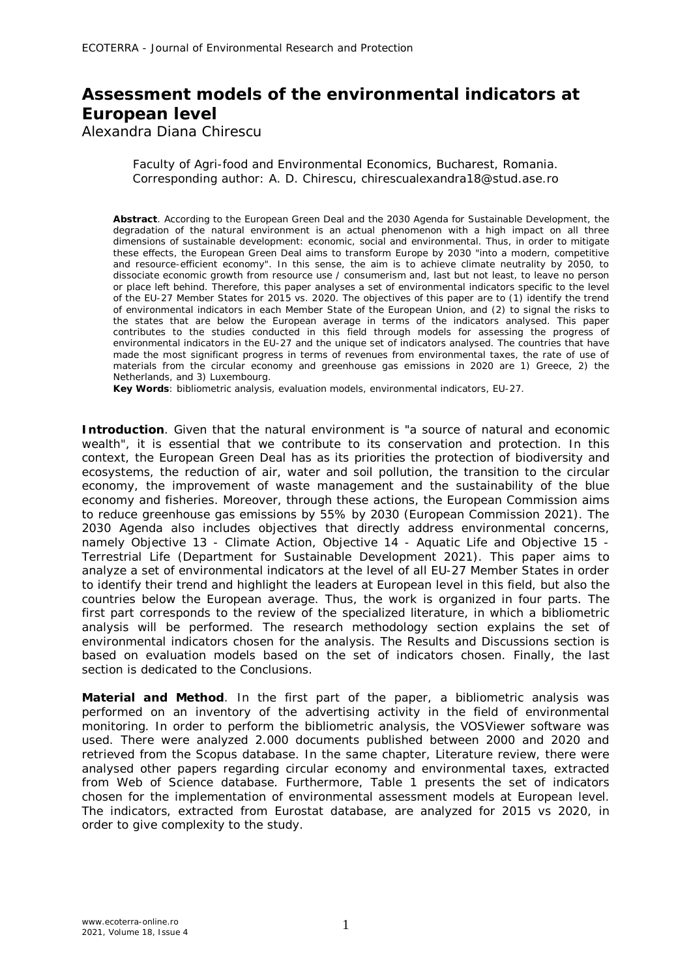## **Assessment models of the environmental indicators at European level**

Alexandra Diana Chirescu

Faculty of Agri-food and Environmental Economics, Bucharest, Romania. Corresponding author: A. D. Chirescu, chirescualexandra18@stud.ase.ro

**Abstract**. According to the European Green Deal and the 2030 Agenda for Sustainable Development, the degradation of the natural environment is an actual phenomenon with a high impact on all three dimensions of sustainable development: economic, social and environmental. Thus, in order to mitigate these effects, the European Green Deal aims to transform Europe by 2030 "into a modern, competitive and resource-efficient economy". In this sense, the aim is to achieve climate neutrality by 2050, to dissociate economic growth from resource use / consumerism and, last but not least, to leave no person or place left behind. Therefore, this paper analyses a set of environmental indicators specific to the level of the EU-27 Member States for 2015 vs. 2020. The objectives of this paper are to (1) identify the trend of environmental indicators in each Member State of the European Union, and (2) to signal the risks to the states that are below the European average in terms of the indicators analysed. This paper contributes to the studies conducted in this field through models for assessing the progress of environmental indicators in the EU-27 and the unique set of indicators analysed. The countries that have made the most significant progress in terms of revenues from environmental taxes, the rate of use of materials from the circular economy and greenhouse gas emissions in 2020 are 1) Greece, 2) the Netherlands, and 3) Luxembourg.

**Key Words**: bibliometric analysis, evaluation models, environmental indicators, EU-27.

**Introduction**. Given that the natural environment is "a source of natural and economic wealth", it is essential that we contribute to its conservation and protection. In this context, the European Green Deal has as its priorities the protection of biodiversity and ecosystems, the reduction of air, water and soil pollution, the transition to the circular economy, the improvement of waste management and the sustainability of the blue economy and fisheries. Moreover, through these actions, the European Commission aims to reduce greenhouse gas emissions by 55% by 2030 (European Commission 2021). The 2030 Agenda also includes objectives that directly address environmental concerns, namely Objective 13 - Climate Action, Objective 14 - Aquatic Life and Objective 15 - Terrestrial Life (Department for Sustainable Development 2021). This paper aims to analyze a set of environmental indicators at the level of all EU-27 Member States in order to identify their trend and highlight the leaders at European level in this field, but also the countries below the European average. Thus, the work is organized in four parts. The first part corresponds to the review of the specialized literature, in which a bibliometric analysis will be performed. The research methodology section explains the set of environmental indicators chosen for the analysis. The Results and Discussions section is based on evaluation models based on the set of indicators chosen. Finally, the last section is dedicated to the Conclusions.

**Material and Method**. In the first part of the paper, a bibliometric analysis was performed on an inventory of the advertising activity in the field of environmental monitoring. In order to perform the bibliometric analysis, the VOSViewer software was used. There were analyzed 2.000 documents published between 2000 and 2020 and retrieved from the Scopus database. In the same chapter, Literature review, there were analysed other papers regarding circular economy and environmental taxes, extracted from Web of Science database. Furthermore, Table 1 presents the set of indicators chosen for the implementation of environmental assessment models at European level. The indicators, extracted from Eurostat database, are analyzed for 2015 vs 2020, in order to give complexity to the study.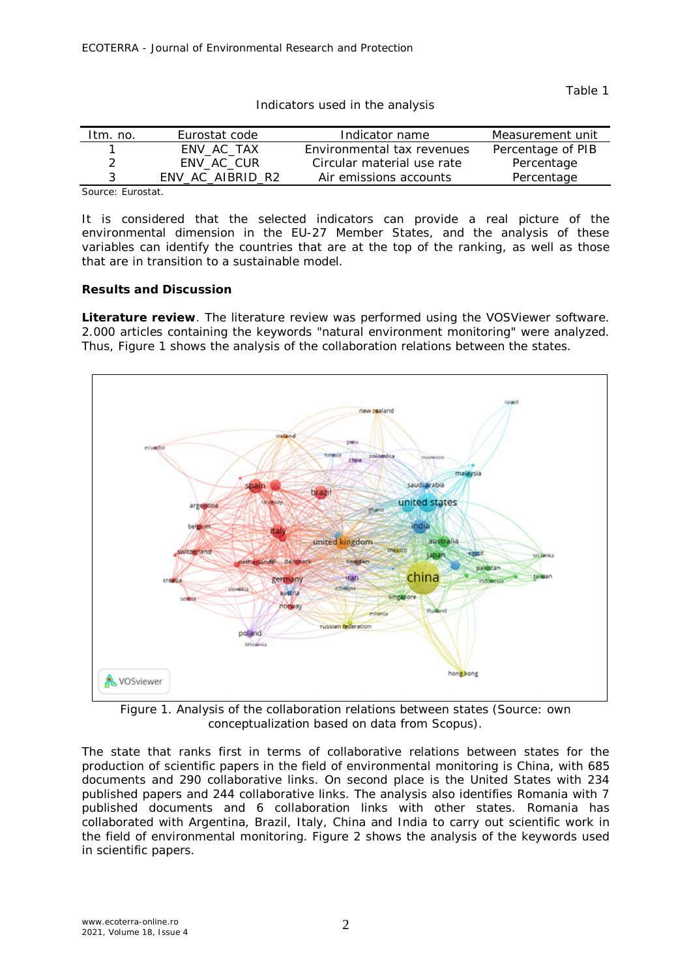Table 1

| Itm. no. | Eurostat code    | Indicator name             | Measurement unit  |
|----------|------------------|----------------------------|-------------------|
|          | ENV AC TAX       | Environmental tax revenues | Percentage of PIB |
| 2        | ENV AC CUR       | Circular material use rate | Percentage        |
|          | ENV_AC_AIBRID_R2 | Air emissions accounts     | Percentage        |

Indicators used in the analysis

Source: Eurostat.

It is considered that the selected indicators can provide a real picture of the environmental dimension in the EU-27 Member States, and the analysis of these variables can identify the countries that are at the top of the ranking, as well as those that are in transition to a sustainable model.

## **Results and Discussion**

*Literature review.* The literature review was performed using the VOSViewer software. 2.000 articles containing the keywords "natural environment monitoring" were analyzed. Thus, Figure 1 shows the analysis of the collaboration relations between the states.



Figure 1. Analysis of the collaboration relations between states (Source: own conceptualization based on data from Scopus).

The state that ranks first in terms of collaborative relations between states for the production of scientific papers in the field of environmental monitoring is China, with 685 documents and 290 collaborative links. On second place is the United States with 234 published papers and 244 collaborative links. The analysis also identifies Romania with 7 published documents and 6 collaboration links with other states. Romania has collaborated with Argentina, Brazil, Italy, China and India to carry out scientific work in the field of environmental monitoring. Figure 2 shows the analysis of the keywords used in scientific papers.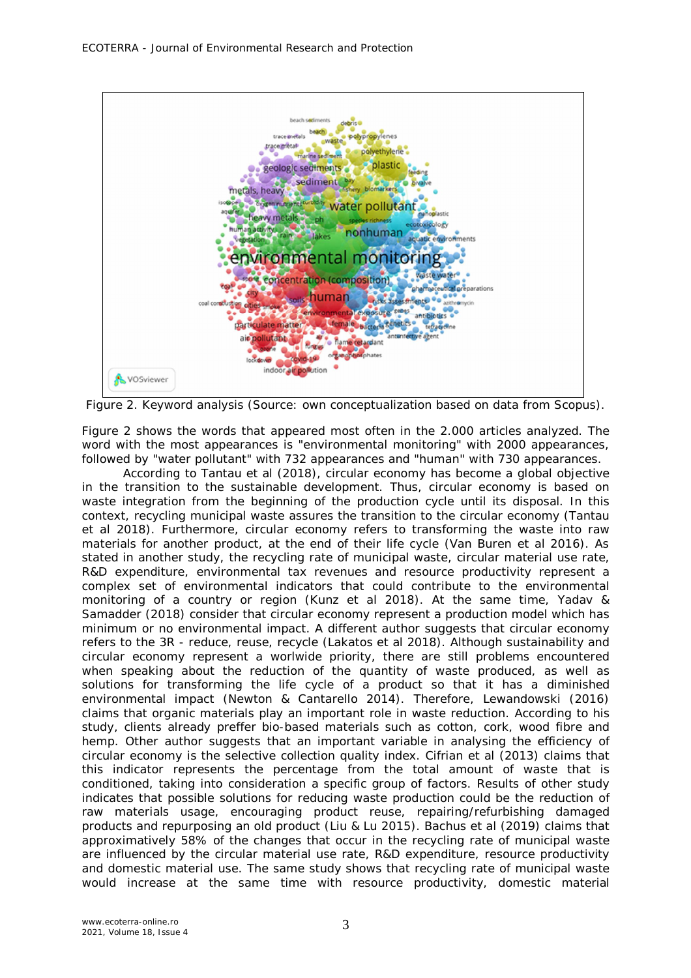

Figure 2. Keyword analysis (Source: own conceptualization based on data from Scopus).

Figure 2 shows the words that appeared most often in the 2.000 articles analyzed. The word with the most appearances is "environmental monitoring" with 2000 appearances, followed by "water pollutant" with 732 appearances and "human" with 730 appearances.

According to Tantau et al (2018), circular economy has become a global objective in the transition to the sustainable development. Thus, circular economy is based on waste integration from the beginning of the production cycle until its disposal. In this context, recycling municipal waste assures the transition to the circular economy (Tantau et al 2018). Furthermore, circular economy refers to transforming the waste into raw materials for another product, at the end of their life cycle (Van Buren et al 2016). As stated in another study, the recycling rate of municipal waste, circular material use rate, R&D expenditure, environmental tax revenues and resource productivity represent a complex set of environmental indicators that could contribute to the environmental monitoring of a country or region (Kunz et al 2018). At the same time, Yadav & Samadder (2018) consider that circular economy represent a production model which has minimum or no environmental impact. A different author suggests that circular economy refers to the 3R - reduce, reuse, recycle (Lakatos et al 2018). Although sustainability and circular economy represent a worlwide priority, there are still problems encountered when speaking about the reduction of the quantity of waste produced, as well as solutions for transforming the life cycle of a product so that it has a diminished environmental impact (Newton & Cantarello 2014). Therefore, Lewandowski (2016) claims that organic materials play an important role in waste reduction. According to his study, clients already preffer bio-based materials such as cotton, cork, wood fibre and hemp. Other author suggests that an important variable in analysing the efficiency of circular economy is the selective collection quality index. Cifrian et al (2013) claims that this indicator represents the percentage from the total amount of waste that is conditioned, taking into consideration a specific group of factors. Results of other study indicates that possible solutions for reducing waste production could be the reduction of raw materials usage, encouraging product reuse, repairing/refurbishing damaged products and repurposing an old product (Liu & Lu 2015). Bachus et al (2019) claims that approximatively 58% of the changes that occur in the recycling rate of municipal waste are influenced by the circular material use rate, R&D expenditure, resource productivity and domestic material use. The same study shows that recycling rate of municipal waste would increase at the same time with resource productivity, domestic material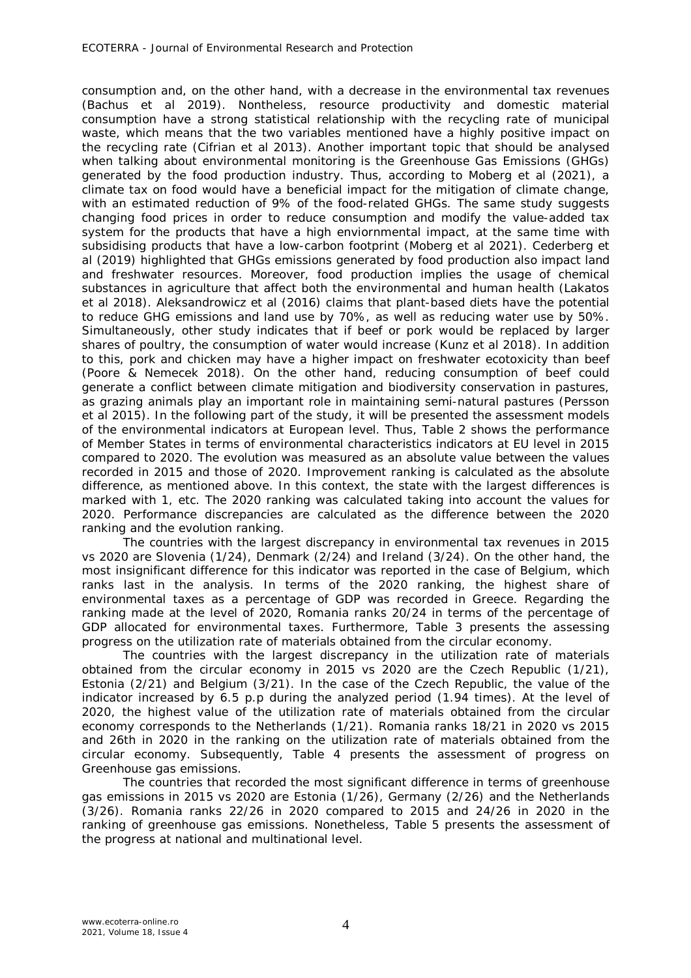consumption and, on the other hand, with a decrease in the environmental tax revenues (Bachus et al 2019). Nontheless, resource productivity and domestic material consumption have a strong statistical relationship with the recycling rate of municipal waste, which means that the two variables mentioned have a highly positive impact on the recycling rate (Cifrian et al 2013). Another important topic that should be analysed when talking about environmental monitoring is the Greenhouse Gas Emissions (GHGs) generated by the food production industry. Thus, according to Moberg et al (2021), a climate tax on food would have a beneficial impact for the mitigation of climate change, with an estimated reduction of 9% of the food-related GHGs. The same study suggests changing food prices in order to reduce consumption and modify the value-added tax system for the products that have a high enviornmental impact, at the same time with subsidising products that have a low-carbon footprint (Moberg et al 2021). Cederberg et al (2019) highlighted that GHGs emissions generated by food production also impact land and freshwater resources. Moreover, food production implies the usage of chemical substances in agriculture that affect both the environmental and human health (Lakatos et al 2018). Aleksandrowicz et al (2016) claims that plant-based diets have the potential to reduce GHG emissions and land use by 70%, as well as reducing water use by 50%. Simultaneously, other study indicates that if beef or pork would be replaced by larger shares of poultry, the consumption of water would increase (Kunz et al 2018). In addition to this, pork and chicken may have a higher impact on freshwater ecotoxicity than beef (Poore & Nemecek 2018). On the other hand, reducing consumption of beef could generate a conflict between climate mitigation and biodiversity conservation in pastures, as grazing animals play an important role in maintaining semi-natural pastures (Persson et al 2015). In the following part of the study, it will be presented the assessment models of the environmental indicators at European level. Thus, Table 2 shows the performance of Member States in terms of environmental characteristics indicators at EU level in 2015 compared to 2020. The evolution was measured as an absolute value between the values recorded in 2015 and those of 2020. Improvement ranking is calculated as the absolute difference, as mentioned above. In this context, the state with the largest differences is marked with 1, etc. The 2020 ranking was calculated taking into account the values for 2020. Performance discrepancies are calculated as the difference between the 2020 ranking and the evolution ranking.

The countries with the largest discrepancy in environmental tax revenues in 2015 vs 2020 are Slovenia (1/24), Denmark (2/24) and Ireland (3/24). On the other hand, the most insignificant difference for this indicator was reported in the case of Belgium, which ranks last in the analysis. In terms of the 2020 ranking, the highest share of environmental taxes as a percentage of GDP was recorded in Greece. Regarding the ranking made at the level of 2020, Romania ranks 20/24 in terms of the percentage of GDP allocated for environmental taxes. Furthermore, Table 3 presents the assessing progress on the utilization rate of materials obtained from the circular economy.

The countries with the largest discrepancy in the utilization rate of materials obtained from the circular economy in 2015 vs 2020 are the Czech Republic (1/21), Estonia (2/21) and Belgium (3/21). In the case of the Czech Republic, the value of the indicator increased by 6.5 p.p during the analyzed period (1.94 times). At the level of 2020, the highest value of the utilization rate of materials obtained from the circular economy corresponds to the Netherlands (1/21). Romania ranks 18/21 in 2020 vs 2015 and 26th in 2020 in the ranking on the utilization rate of materials obtained from the circular economy. Subsequently, Table 4 presents the assessment of progress on Greenhouse gas emissions.

The countries that recorded the most significant difference in terms of greenhouse gas emissions in 2015 vs 2020 are Estonia (1/26), Germany (2/26) and the Netherlands (3/26). Romania ranks 22/26 in 2020 compared to 2015 and 24/26 in 2020 in the ranking of greenhouse gas emissions. Nonetheless, Table 5 presents the assessment of the progress at national and multinational level.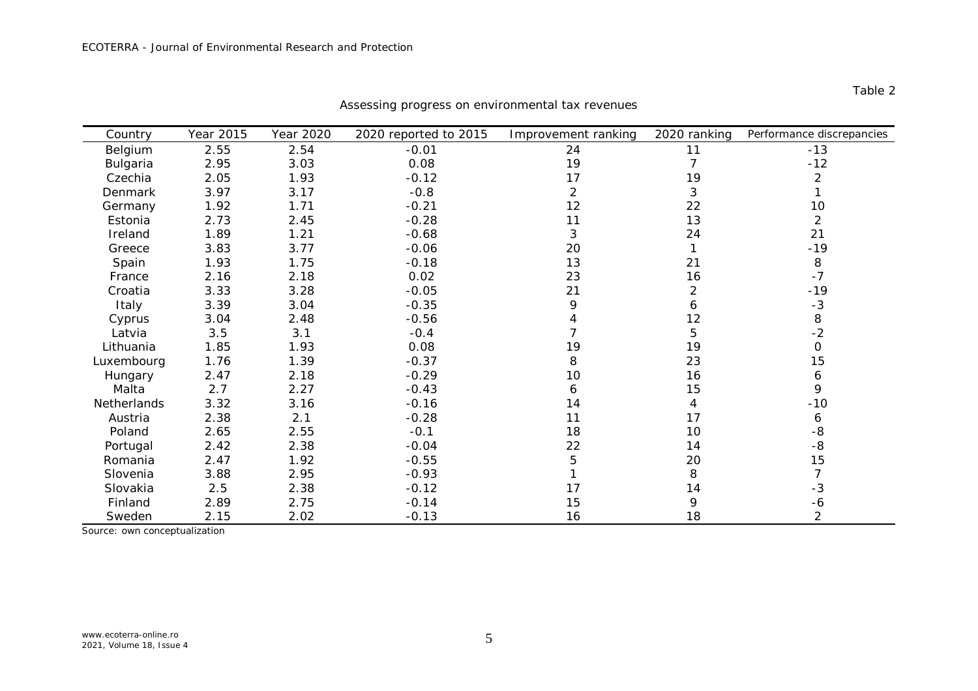| Country            | Year 2015 | Year 2020 | 2020 reported to 2015 | Improvement ranking | 2020 ranking   | Performance discrepancies |
|--------------------|-----------|-----------|-----------------------|---------------------|----------------|---------------------------|
| Belgium            | 2.55      | 2.54      | $-0.01$               | 24                  | 11             | $-13$                     |
| Bulgaria           | 2.95      | 3.03      | 0.08                  | 19                  | 7              | $-12$                     |
| Czechia            | 2.05      | 1.93      | $-0.12$               | 17                  | 19             | 2                         |
| Denmark            | 3.97      | 3.17      | $-0.8$                | 2                   | 3              |                           |
| Germany            | 1.92      | 1.71      | $-0.21$               | 12                  | 22             | 10                        |
| Estonia            | 2.73      | 2.45      | $-0.28$               | 11                  | 13             | $\overline{2}$            |
| Ireland            | 1.89      | 1.21      | $-0.68$               | 3                   | 24             | 21                        |
| Greece             | 3.83      | 3.77      | $-0.06$               | 20                  | 1              | $-19$                     |
| Spain              | 1.93      | 1.75      | $-0.18$               | 13                  | 21             | 8                         |
| France             | 2.16      | 2.18      | 0.02                  | 23                  | 16             | $-7$                      |
| Croatia            | 3.33      | 3.28      | $-0.05$               | 21                  | $\overline{2}$ | $-19$                     |
| Italy              | 3.39      | 3.04      | $-0.35$               | 9                   | 6              | $-3$                      |
| Cyprus             | 3.04      | 2.48      | $-0.56$               |                     | 12             | 8                         |
| Latvia             | 3.5       | 3.1       | $-0.4$                |                     | 5              | $-2$                      |
| Lithuania          | 1.85      | 1.93      | 0.08                  | 19                  | 19             | $\Omega$                  |
| Luxembourg         | 1.76      | 1.39      | $-0.37$               | 8                   | 23             | 15                        |
| Hungary            | 2.47      | 2.18      | $-0.29$               | 10                  | 16             | 6                         |
| Malta              | 2.7       | 2.27      | $-0.43$               | 6                   | 15             | 9                         |
| <b>Netherlands</b> | 3.32      | 3.16      | $-0.16$               | 14                  | $\overline{4}$ | $-10$                     |
| Austria            | 2.38      | 2.1       | $-0.28$               | 11                  | 17             | 6                         |
| Poland             | 2.65      | 2.55      | $-0.1$                | 18                  | 10             | -8                        |
| Portugal           | 2.42      | 2.38      | $-0.04$               | 22                  | 14             | $-8$                      |
| Romania            | 2.47      | 1.92      | $-0.55$               | 5                   | 20             | 15                        |
| Slovenia           | 3.88      | 2.95      | $-0.93$               |                     | 8              | 7                         |
| Slovakia           | 2.5       | 2.38      | $-0.12$               | 17                  | 14             | -3                        |
| Finland            | 2.89      | 2.75      | $-0.14$               | 15                  | 9              | -6                        |
| Sweden             | 2.15      | 2.02      | $-0.13$               | 16                  | 18             | $\overline{2}$            |

Assessing progress on environmental tax revenues

Source: own conceptualization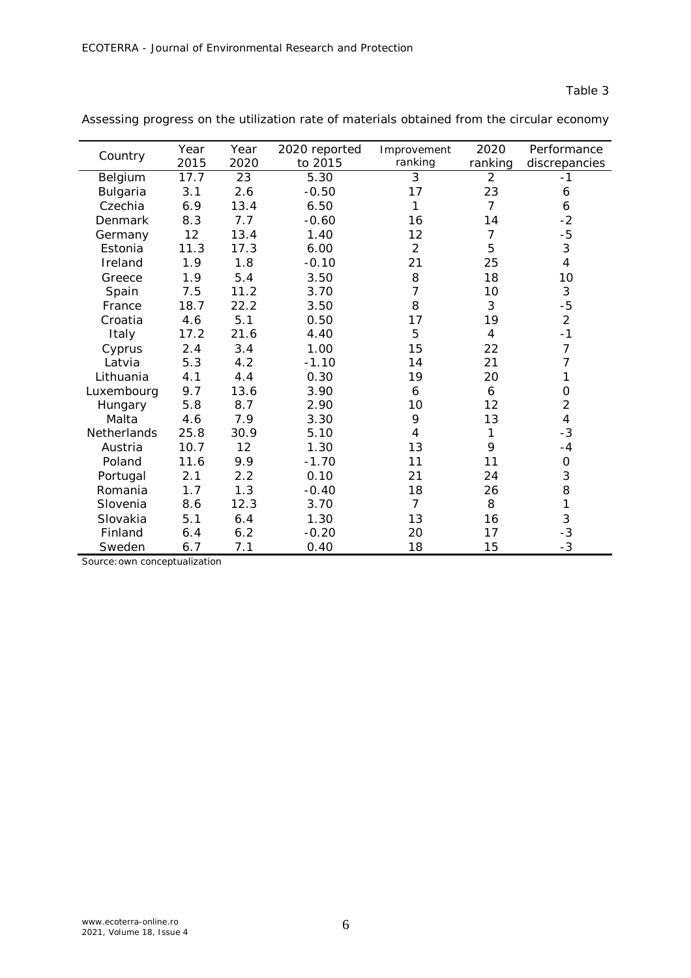|             | Year | Year | 2020 reported | Improvement    | 2020    | Performance    |
|-------------|------|------|---------------|----------------|---------|----------------|
| Country     | 2015 | 2020 | to 2015       | ranking        | ranking | discrepancies  |
| Belgium     | 17.7 | 23   | 5.30          | 3              | 2       | -1             |
| Bulgaria    | 3.1  | 2.6  | $-0.50$       | 17             | 23      | 6              |
| Czechia     | 6.9  | 13.4 | 6.50          | 1              | 7       | 6              |
| Denmark     | 8.3  | 7.7  | $-0.60$       | 16             | 14      | $-2$           |
| Germany     | 12   | 13.4 | 1.40          | 12             | 7       | $-5$           |
| Estonia     | 11.3 | 17.3 | 6.00          | $\overline{2}$ | 5       | $\sqrt{3}$     |
| Ireland     | 1.9  | 1.8  | $-0.10$       | 21             | 25      | $\overline{4}$ |
| Greece      | 1.9  | 5.4  | 3.50          | 8              | 18      | 10             |
| Spain       | 7.5  | 11.2 | 3.70          | 7              | 10      | $\sqrt{3}$     |
| France      | 18.7 | 22.2 | 3.50          | 8              | 3       | $-5$           |
| Croatia     | 4.6  | 5.1  | 0.50          | 17             | 19      | $\overline{2}$ |
| Italy       | 17.2 | 21.6 | 4.40          | 5              | 4       | $-1$           |
| Cyprus      | 2.4  | 3.4  | 1.00          | 15             | 22      | $\overline{7}$ |
| Latvia      | 5.3  | 4.2  | $-1.10$       | 14             | 21      | $\overline{7}$ |
| Lithuania   | 4.1  | 4.4  | 0.30          | 19             | 20      | 1              |
| Luxembourg  | 9.7  | 13.6 | 3.90          | 6              | 6       | $\mathbf 0$    |
| Hungary     | 5.8  | 8.7  | 2.90          | 10             | 12      | $\overline{2}$ |
| Malta       | 4.6  | 7.9  | 3.30          | 9              | 13      | $\overline{4}$ |
| Netherlands | 25.8 | 30.9 | 5.10          | $\overline{4}$ | 1       | $-3$           |
| Austria     | 10.7 | 12   | 1.30          | 13             | 9       | $-4$           |
| Poland      | 11.6 | 9.9  | $-1.70$       | 11             | 11      | $\mathbf 0$    |
| Portugal    | 2.1  | 2.2  | 0.10          | 21             | 24      | 3              |
| Romania     | 1.7  | 1.3  | $-0.40$       | 18             | 26      | 8              |
| Slovenia    | 8.6  | 12.3 | 3.70          | $\overline{7}$ | 8       | 1              |
| Slovakia    | 5.1  | 6.4  | 1.30          | 13             | 16      | 3              |
| Finland     | 6.4  | 6.2  | $-0.20$       | 20             | 17      | $-3$           |
| Sweden      | 6.7  | 7.1  | 0.40          | 18             | 15      | $-3$           |

Assessing progress on the utilization rate of materials obtained from the circular economy

Source: own conceptualization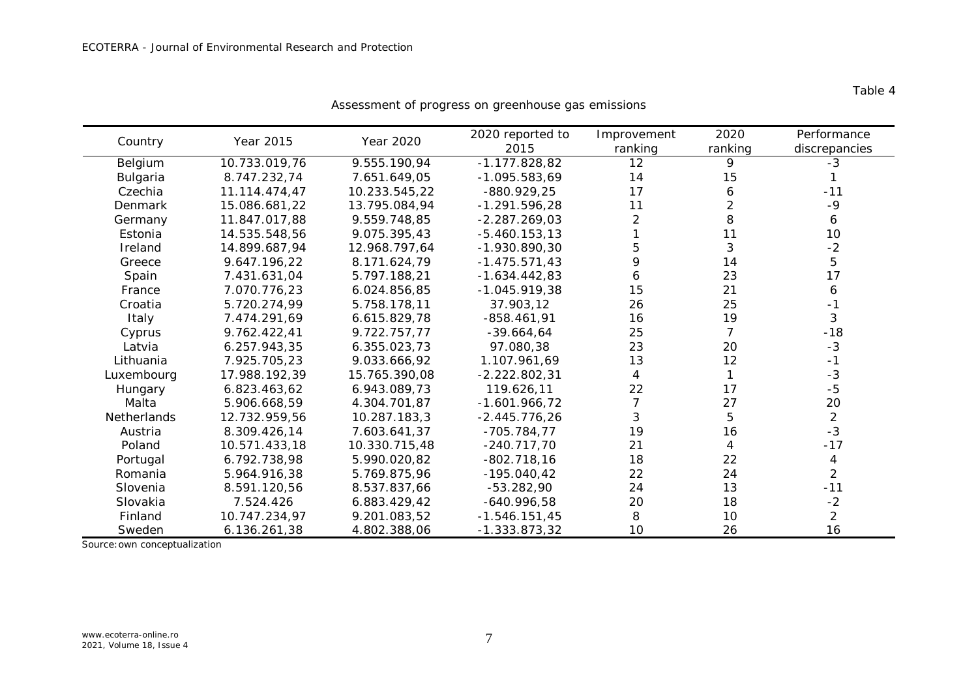| Country     | Year 2015     | Year 2020     | 2020 reported to<br>2015 | Improvement<br>ranking | 2020<br>ranking | Performance<br>discrepancies |
|-------------|---------------|---------------|--------------------------|------------------------|-----------------|------------------------------|
| Belgium     | 10.733.019,76 | 9.555.190,94  | $-1.177.828,82$          | 12                     | 9               | $-3$                         |
| Bulgaria    | 8.747.232,74  | 7.651.649,05  | $-1.095.583.69$          | 14                     | 15              |                              |
| Czechia     | 11.114.474,47 | 10.233.545,22 | $-880.929, 25$           | 17                     | 6               | $-11$                        |
| Denmark     | 15.086.681,22 | 13.795.084,94 | $-1.291.596,28$          | 11                     | 2               | $-9$                         |
| Germany     | 11.847.017,88 | 9.559.748,85  | $-2.287.269,03$          | $\overline{2}$         | 8               | 6                            |
| Estonia     | 14.535.548,56 | 9.075.395,43  | $-5.460.153,13$          |                        | 11              | 10                           |
| Ireland     | 14.899.687,94 | 12.968.797.64 | $-1.930.890.30$          | 5                      | 3               | $-2$                         |
| Greece      | 9.647.196,22  | 8.171.624,79  | $-1.475.571,43$          | 9                      | 14              | 5                            |
| Spain       | 7.431.631,04  | 5.797.188,21  | $-1.634.442,83$          | 6                      | 23              | 17                           |
| France      | 7.070.776,23  | 6.024.856,85  | $-1.045.919,38$          | 15                     | 21              | 6                            |
| Croatia     | 5.720.274,99  | 5.758.178,11  | 37.903,12                | 26                     | 25              | $-1$                         |
| Italy       | 7.474.291,69  | 6.615.829,78  | $-858.461,91$            | 16                     | 19              | 3                            |
| Cyprus      | 9.762.422,41  | 9.722.757,77  | $-39.664.64$             | 25                     | $\overline{7}$  | $-18$                        |
| Latvia      | 6.257.943,35  | 6.355.023,73  | 97.080,38                | 23                     | 20              | $-3$                         |
| Lithuania   | 7.925.705,23  | 9.033.666,92  | 1.107.961,69             | 13                     | 12              | $-1$                         |
| Luxembourg  | 17.988.192,39 | 15.765.390,08 | $-2.222.802,31$          | 4                      |                 | $-3$                         |
| Hungary     | 6.823.463,62  | 6.943.089,73  | 119.626,11               | 22                     | 17              | $-5$                         |
| Malta       | 5.906.668,59  | 4.304.701,87  | $-1.601.966, 72$         | 7                      | 27              | 20                           |
| Netherlands | 12.732.959,56 | 10.287.183,3  | $-2.445.776,26$          | 3                      | 5               | $\overline{2}$               |
| Austria     | 8.309.426,14  | 7.603.641,37  | $-705.784,77$            | 19                     | 16              | $-3$                         |
| Poland      | 10.571.433,18 | 10.330.715,48 | $-240.717,70$            | 21                     | 4               | $-17$                        |
| Portugal    | 6.792.738,98  | 5.990.020,82  | $-802.718,16$            | 18                     | 22              | 4                            |
| Romania     | 5.964.916,38  | 5.769.875,96  | $-195.040.42$            | 22                     | 24              | $\overline{2}$               |
| Slovenia    | 8.591.120,56  | 8.537.837,66  | $-53.282,90$             | 24                     | 13              | $-11$                        |
| Slovakia    | 7.524.426     | 6.883.429,42  | $-640.996,58$            | 20                     | 18              | $-2$                         |
| Finland     | 10.747.234,97 | 9.201.083,52  | $-1.546.151,45$          | 8                      | 10              | $\overline{2}$               |
| Sweden      | 6.136.261,38  | 4.802.388,06  | $-1.333.873,32$          | 10                     | 26              | 16                           |

Assessment of progress on greenhouse gas emissions

Source:own conceptualization

Table 4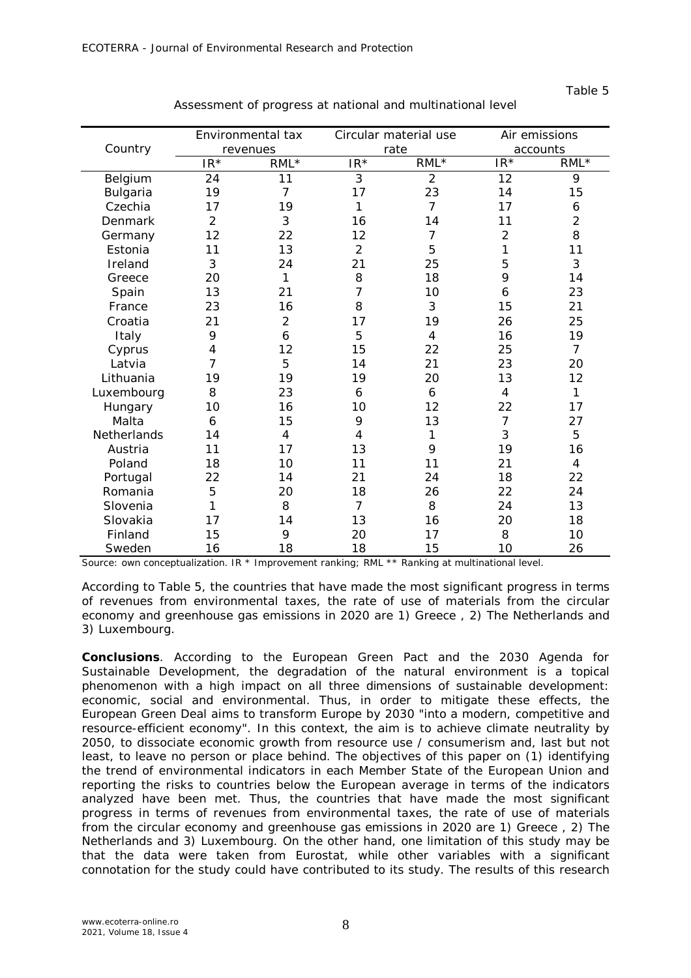|             | Environmental tax |                |                | Circular material use |                | Air emissions  |  |
|-------------|-------------------|----------------|----------------|-----------------------|----------------|----------------|--|
| Country     |                   | revenues       |                | rate                  |                | accounts       |  |
|             | $IR*$             | $RML^*$        | $IR*$          | $RML *$               | $IR*$          | $RML^*$        |  |
| Belgium     | 24                | 11             | 3              | $\overline{2}$        | 12             | 9              |  |
| Bulgaria    | 19                | $\overline{7}$ | 17             | 23                    | 14             | 15             |  |
| Czechia     | 17                | 19             | 1              | $\overline{7}$        | 17             | 6              |  |
| Denmark     | $\overline{2}$    | 3              | 16             | 14                    | 11             | $\overline{2}$ |  |
| Germany     | 12                | 22             | 12             | $\overline{7}$        | $\overline{2}$ | 8              |  |
| Estonia     | 11                | 13             | $\overline{2}$ | 5                     | 1              | 11             |  |
| Ireland     | 3                 | 24             | 21             | 25                    | 5              | 3              |  |
| Greece      | 20                | 1              | 8              | 18                    | 9              | 14             |  |
| Spain       | 13                | 21             | 7              | 10                    | 6              | 23             |  |
| France      | 23                | 16             | 8              | 3                     | 15             | 21             |  |
| Croatia     | 21                | $\overline{2}$ | 17             | 19                    | 26             | 25             |  |
| Italy       | 9                 | 6              | 5              | 4                     | 16             | 19             |  |
| Cyprus      | 4                 | 12             | 15             | 22                    | 25             | $\overline{7}$ |  |
| Latvia      | 7                 | 5              | 14             | 21                    | 23             | 20             |  |
| Lithuania   | 19                | 19             | 19             | 20                    | 13             | 12             |  |
| Luxembourg  | 8                 | 23             | 6              | 6                     | $\overline{4}$ | $\mathbf{1}$   |  |
| Hungary     | 10                | 16             | 10             | 12                    | 22             | 17             |  |
| Malta       | 6                 | 15             | 9              | 13                    | $\overline{7}$ | 27             |  |
| Netherlands | 14                | 4              | $\overline{4}$ | 1                     | 3              | 5              |  |
| Austria     | 11                | 17             | 13             | 9                     | 19             | 16             |  |
| Poland      | 18                | 10             | 11             | 11                    | 21             | 4              |  |
| Portugal    | 22                | 14             | 21             | 24                    | 18             | 22             |  |
| Romania     | 5                 | 20             | 18             | 26                    | 22             | 24             |  |
| Slovenia    | 1                 | 8              | $\overline{7}$ | 8                     | 24             | 13             |  |
| Slovakia    | 17                | 14             | 13             | 16                    | 20             | 18             |  |
| Finland     | 15                | 9              | 20             | 17                    | 8              | 10             |  |
| Sweden      | 16                | 18             | 18             | 15                    | 10             | 26             |  |

Assessment of progress at national and multinational level

Source: own conceptualization. IR \* Improvement ranking; RML \*\* Ranking at multinational level.

According to Table 5, the countries that have made the most significant progress in terms of revenues from environmental taxes, the rate of use of materials from the circular economy and greenhouse gas emissions in 2020 are 1) Greece , 2) The Netherlands and 3) Luxembourg.

**Conclusions**. According to the European Green Pact and the 2030 Agenda for Sustainable Development, the degradation of the natural environment is a topical phenomenon with a high impact on all three dimensions of sustainable development: economic, social and environmental. Thus, in order to mitigate these effects, the European Green Deal aims to transform Europe by 2030 "into a modern, competitive and resource-efficient economy". In this context, the aim is to achieve climate neutrality by 2050, to dissociate economic growth from resource use / consumerism and, last but not least, to leave no person or place behind. The objectives of this paper on (1) identifying the trend of environmental indicators in each Member State of the European Union and reporting the risks to countries below the European average in terms of the indicators analyzed have been met. Thus, the countries that have made the most significant progress in terms of revenues from environmental taxes, the rate of use of materials from the circular economy and greenhouse gas emissions in 2020 are 1) Greece , 2) The Netherlands and 3) Luxembourg. On the other hand, one limitation of this study may be that the data were taken from Eurostat, while other variables with a significant connotation for the study could have contributed to its study. The results of this research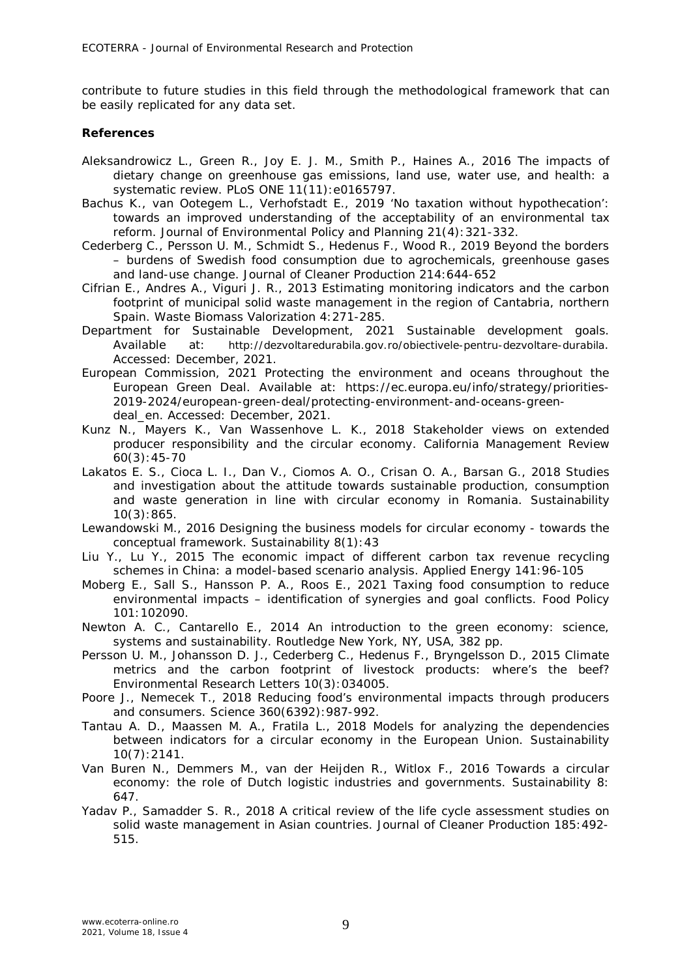contribute to future studies in this field through the methodological framework that can be easily replicated for any data set.

## **References**

- Aleksandrowicz L., Green R., Joy E. J. M., Smith P., Haines A., 2016 The impacts of dietary change on greenhouse gas emissions, land use, water use, and health: a systematic review. PLoS ONE 11(11): e0165797.
- Bachus K., van Ootegem L., Verhofstadt E., 2019 'No taxation without hypothecation': towards an improved understanding of the acceptability of an environmental tax reform. Journal of Environmental Policy and Planning 21(4):321-332.
- Cederberg C., Persson U. M., Schmidt S., Hedenus F., Wood R., 2019 Beyond the borders – burdens of Swedish food consumption due to agrochemicals, greenhouse gases and land-use change. Journal of Cleaner Production 214:644-652
- Cifrian E., Andres A., Viguri J. R., 2013 Estimating monitoring indicators and the carbon footprint of municipal solid waste management in the region of Cantabria, northern Spain. Waste Biomass Valorization 4:271-285.
- Department for Sustainable Development, 2021 Sustainable development goals. Available at: http://dezvoltaredurabila.gov.ro/obiectivele-pentru-dezvoltare-durabila. Accessed: December, 2021.
- European Commission, 2021 Protecting the environment and oceans throughout the European Green Deal. Available at: https://ec.europa.eu/info/strategy/priorities-2019-2024/european-green-deal/protecting-environment-and-oceans-greendeal en. Accessed: December, 2021.
- Kunz N., Mayers K., Van Wassenhove L. K., 2018 Stakeholder views on extended producer responsibility and the circular economy. California Management Review 60(3):45-70
- Lakatos E. S., Cioca L. I., Dan V., Ciomos A. O., Crisan O. A., Barsan G., 2018 Studies and investigation about the attitude towards sustainable production, consumption and waste generation in line with circular economy in Romania. Sustainability 10(3):865.
- Lewandowski M., 2016 Designing the business models for circular economy towards the conceptual framework. Sustainability 8(1):43
- Liu Y., Lu Y., 2015 The economic impact of different carbon tax revenue recycling schemes in China: a model-based scenario analysis. Applied Energy 141:96-105
- Moberg E., Sall S., Hansson P. A., Roos E., 2021 Taxing food consumption to reduce environmental impacts – identification of synergies and goal conflicts. Food Policy 101:102090.
- Newton A. C., Cantarello E., 2014 An introduction to the green economy: science, systems and sustainability. Routledge New York, NY, USA, 382 pp.
- Persson U. M., Johansson D. J., Cederberg C., Hedenus F., Bryngelsson D., 2015 Climate metrics and the carbon footprint of livestock products: where's the beef? Environmental Research Letters 10(3):034005.
- Poore J., Nemecek T., 2018 Reducing food's environmental impacts through producers and consumers. Science 360(6392):987-992.
- Tantau A. D., Maassen M. A., Fratila L., 2018 Models for analyzing the dependencies between indicators for a circular economy in the European Union. Sustainability 10(7):2141.
- Van Buren N., Demmers M., van der Heijden R., Witlox F., 2016 Towards a circular economy: the role of Dutch logistic industries and governments. Sustainability 8: 647.
- Yadav P., Samadder S. R., 2018 A critical review of the life cycle assessment studies on solid waste management in Asian countries. Journal of Cleaner Production 185:492- 515.